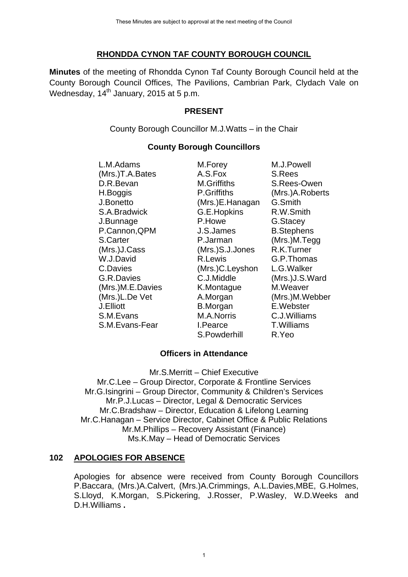# **RHONDDA CYNON TAF COUNTY BOROUGH COUNCIL**

**Minutes** of the meeting of Rhondda Cynon Taf County Borough Council held at the County Borough Council Offices, The Pavilions, Cambrian Park, Clydach Vale on Wednesday,  $14<sup>th</sup>$  January, 2015 at 5 p.m.

# **PRESENT**

# **County Borough Councillors**

|     |                                                                                                                                                                                                                                                                       | These Minutes are subject to approval at the next meeting of the Council                                                                                                                                                                                                    |                                                                                                                                                                                                                                                                                      |
|-----|-----------------------------------------------------------------------------------------------------------------------------------------------------------------------------------------------------------------------------------------------------------------------|-----------------------------------------------------------------------------------------------------------------------------------------------------------------------------------------------------------------------------------------------------------------------------|--------------------------------------------------------------------------------------------------------------------------------------------------------------------------------------------------------------------------------------------------------------------------------------|
|     | RHONDDA CYNON TAF COUNTY BOROUGH COUNCIL                                                                                                                                                                                                                              |                                                                                                                                                                                                                                                                             |                                                                                                                                                                                                                                                                                      |
|     | Minutes of the meeting of Rhondda Cynon Taf County Borough Council held<br>County Borough Council Offices, The Pavilions, Cambrian Park, Clydach \<br>Wednesday, 14 <sup>th</sup> January, 2015 at 5 p.m.                                                             |                                                                                                                                                                                                                                                                             |                                                                                                                                                                                                                                                                                      |
|     |                                                                                                                                                                                                                                                                       | <b>PRESENT</b>                                                                                                                                                                                                                                                              |                                                                                                                                                                                                                                                                                      |
|     |                                                                                                                                                                                                                                                                       | County Borough Councillor M.J. Watts - in the Chair                                                                                                                                                                                                                         |                                                                                                                                                                                                                                                                                      |
|     |                                                                                                                                                                                                                                                                       | <b>County Borough Councillors</b>                                                                                                                                                                                                                                           |                                                                                                                                                                                                                                                                                      |
|     | L.M.Adams<br>(Mrs.)T.A.Bates<br>D.R.Bevan<br>H.Boggis<br>J.Bonetto<br>S.A.Bradwick<br>J.Bunnage<br>P.Cannon, QPM<br>S.Carter<br>(Mrs.)J.Cass<br>W.J.David<br>C.Davies<br>G.R.Davies<br>(Mrs.)M.E.Davies<br>(Mrs.)L.De Vet<br>J.Elliott<br>S.M.Evans<br>S.M.Evans-Fear | M.Forey<br>A.S.Fox<br>M.Griffiths<br>P.Griffiths<br>(Mrs.)E.Hanagan<br>G.E.Hopkins<br>P.Howe<br>J.S.James<br>P.Jarman<br>(Mrs.)S.J.Jones<br>R.Lewis<br>(Mrs.)C.Leyshon<br>C.J.Middle<br>K.Montague<br>A.Morgan<br><b>B.Morgan</b><br>M.A.Norris<br>I.Pearce<br>S.Powderhill | M.J.Powell<br>S.Rees<br>S.Rees-Owen<br>(Mrs.)A.Roberts<br>G.Smith<br>R.W.Smith<br>G.Stacey<br><b>B.Stephens</b><br>(Mrs.)M.Tegg<br>R.K.Turner<br>G.P.Thomas<br>L.G.Walker<br>(Mrs.)J.S.Ward<br>M.Weaver<br>(Mrs.)M.Webber<br>E.Webster<br>C.J.Williams<br><b>T.Williams</b><br>R.Yeo |
|     |                                                                                                                                                                                                                                                                       | <b>Officers in Attendance</b>                                                                                                                                                                                                                                               |                                                                                                                                                                                                                                                                                      |
|     | Mr.C.Lee – Group Director, Corporate & Frontline Services<br>Mr.G.Isingrini - Group Director, Community & Children's Services<br>Mr.C.Hanagan - Service Director, Cabinet Office & Public Relations                                                                   | Mr.S.Merritt - Chief Executive<br>Mr.P.J.Lucas - Director, Legal & Democratic Services<br>Mr.C.Bradshaw - Director, Education & Lifelong Learning<br>Mr.M.Phillips - Recovery Assistant (Finance)<br>Ms.K.May - Head of Democratic Services                                 |                                                                                                                                                                                                                                                                                      |
| 102 | <b>APOLOGIES FOR ABSENCE</b>                                                                                                                                                                                                                                          |                                                                                                                                                                                                                                                                             |                                                                                                                                                                                                                                                                                      |
|     | Apologies for absence were received from County Borough Cou<br>P.Baccara, (Mrs.)A.Calvert, (Mrs.)A.Crimmings, A.L.Davies, MBE, G.H<br>S.Lloyd, K.Morgan, S.Pickering, J.Rosser, P.Wasley, W.D.Week<br>D.H.Williams.                                                   |                                                                                                                                                                                                                                                                             |                                                                                                                                                                                                                                                                                      |
|     |                                                                                                                                                                                                                                                                       | 1                                                                                                                                                                                                                                                                           |                                                                                                                                                                                                                                                                                      |

## **Officers in Attendance**

## **102 APOLOGIES FOR ABSENCE**

Apologies for absence were received from County Borough Councillors P.Baccara, (Mrs.)A.Calvert, (Mrs.)A.Crimmings, A.L.Davies,MBE, G.Holmes, S.Lloyd, K.Morgan, S.Pickering, J.Rosser, P.Wasley, W.D.Weeks and D.H.Williams **.**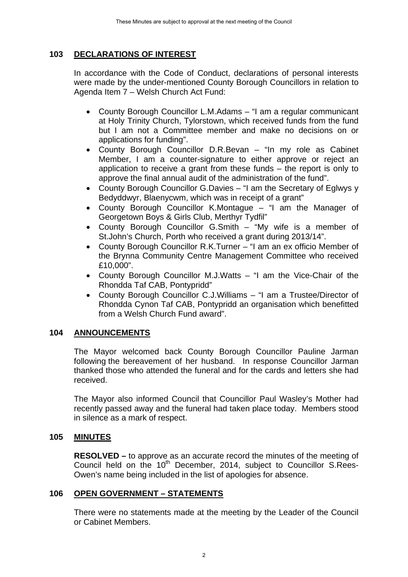# **103 DECLARATIONS OF INTEREST**

In accordance with the Code of Conduct, declarations of personal interests were made by the under-mentioned County Borough Councillors in relation to Agenda Item 7 – Welsh Church Act Fund:

- County Borough Councillor L.M.Adams "I am a regular communicant at Holy Trinity Church, Tylorstown, which received funds from the fund but I am not a Committee member and make no decisions on or applications for funding". These Minutes are subject to approval at the next meeting of the Guancil<br>
TIONS OF INTEREST<br>
TONS OF INTEREST<br>
TONS OF INTEREST<br>
TONS OF INTEREST<br>
TONS OF INTEREST<br>
TONS OF INTEREST<br>
TONS CHAUGE CONSIDE CONSIDE CONSIDE COU
- County Borough Councillor D.R.Bevan "In my role as Cabinet Member, I am a counter-signature to either approve or reject an application to receive a grant from these funds – the report is only to approve the final annual audit of the administration of the fund".
- County Borough Councillor G.Davies "I am the Secretary of Eglwys y Bedyddwyr, Blaenycwm, which was in receipt of a grant"
- County Borough Councillor K.Montague "I am the Manager of Georgetown Boys & Girls Club, Merthyr Tydfil"
- County Borough Councillor G.Smith "My wife is a member of St.John's Church, Porth who received a grant during 2013/14".
- County Borough Councillor R.K.Turner "I am an ex officio Member of the Brynna Community Centre Management Committee who received £10,000".
- County Borough Councillor M.J.Watts "I am the Vice-Chair of the Rhondda Taf CAB, Pontypridd"
- County Borough Councillor C.J.Williams "I am a Trustee/Director of Rhondda Cynon Taf CAB, Pontypridd an organisation which benefitted from a Welsh Church Fund award".

# **104 ANNOUNCEMENTS**

The Mayor welcomed back County Borough Councillor Pauline Jarman following the bereavement of her husband. In response Councillor Jarman thanked those who attended the funeral and for the cards and letters she had received.

The Mayor also informed Council that Councillor Paul Wasley's Mother had recently passed away and the funeral had taken place today. Members stood in silence as a mark of respect.

# **105 MINUTES**

**RESOLVED –** to approve as an accurate record the minutes of the meeting of Council held on the 10<sup>th</sup> December, 2014, subject to Councillor S.Rees-Owen's name being included in the list of apologies for absence.

# **106 OPEN GOVERNMENT – STATEMENTS**

There were no statements made at the meeting by the Leader of the Council or Cabinet Members.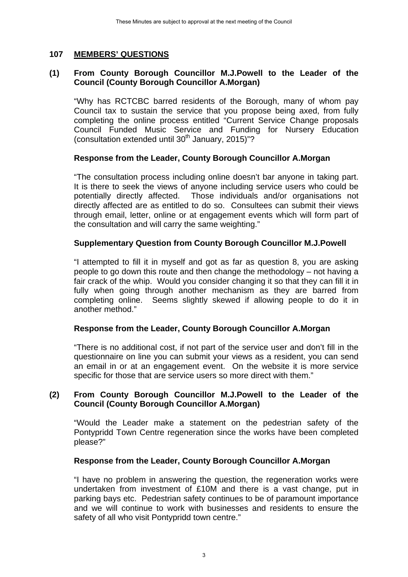# **107 MEMBERS' QUESTIONS**

## **(1) From County Borough Councillor M.J.Powell to the Leader of the Council (County Borough Councillor A.Morgan)**

"Why has RCTCBC barred residents of the Borough, many of whom pay Council tax to sustain the service that you propose being axed, from fully completing the online process entitled "Current Service Change proposals Council Funded Music Service and Funding for Nursery Education (consultation extended until  $30<sup>th</sup>$  January, 2015)"?

# **Response from the Leader, County Borough Councillor A.Morgan**

"The consultation process including online doesn't bar anyone in taking part. It is there to seek the views of anyone including service users who could be potentially directly affected. Those individuals and/or organisations not directly affected are as entitled to do so. Consultees can submit their views through email, letter, online or at engagement events which will form part of the consultation and will carry the same weighting." These Minutes are subject to approval at the next meeting of the Council<br>
These Minutes are subject to approval at the next meeting of the Council<br>
The CONTECT COC barred residents of the Borough, meeting to council at the

# **Supplementary Question from County Borough Councillor M.J.Powell**

"I attempted to fill it in myself and got as far as question 8, you are asking people to go down this route and then change the methodology – not having a fair crack of the whip. Would you consider changing it so that they can fill it in fully when going through another mechanism as they are barred from completing online. Seems slightly skewed if allowing people to do it in another method."

## **Response from the Leader, County Borough Councillor A.Morgan**

"There is no additional cost, if not part of the service user and don't fill in the questionnaire on line you can submit your views as a resident, you can send an email in or at an engagement event. On the website it is more service specific for those that are service users so more direct with them."

## **(2) From County Borough Councillor M.J.Powell to the Leader of the Council (County Borough Councillor A.Morgan)**

"Would the Leader make a statement on the pedestrian safety of the Pontypridd Town Centre regeneration since the works have been completed please?"

## **Response from the Leader, County Borough Councillor A.Morgan**

"I have no problem in answering the question, the regeneration works were undertaken from investment of £10M and there is a vast change, put in parking bays etc. Pedestrian safety continues to be of paramount importance and we will continue to work with businesses and residents to ensure the safety of all who visit Pontypridd town centre."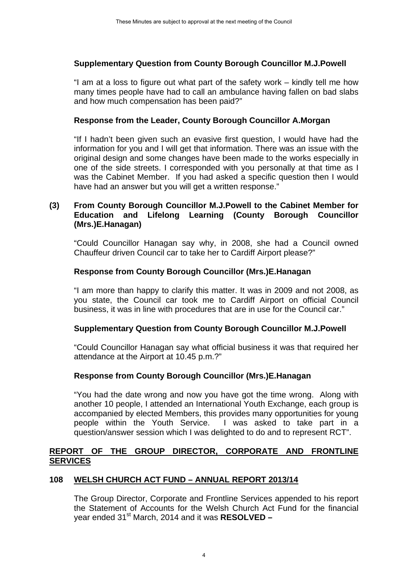## **Supplementary Question from County Borough Councillor M.J.Powell**

"I am at a loss to figure out what part of the safety work – kindly tell me how many times people have had to call an ambulance having fallen on bad slabs and how much compensation has been paid?"

#### **Response from the Leader, County Borough Councillor A.Morgan**

"If I hadn't been given such an evasive first question, I would have had the information for you and I will get that information. There was an issue with the original design and some changes have been made to the works especially in one of the side streets. I corresponded with you personally at that time as I was the Cabinet Member. If you had asked a specific question then I would have had an answer but you will get a written response." These Minutes are subject to approval at the next meeting of the Council<br>
These Minutes are subject to approval at the next meeting of the Council<br>
Once the Council Conserved to call an ambulance having for<br>
the Leader, C

# **(3) From County Borough Councillor M.J.Powell to the Cabinet Member for Education and Lifelong Learning (County Borough Councillor (Mrs.)E.Hanagan)**

"Could Councillor Hanagan say why, in 2008, she had a Council owned Chauffeur driven Council car to take her to Cardiff Airport please?"

## **Response from County Borough Councillor (Mrs.)E.Hanagan**

"I am more than happy to clarify this matter. It was in 2009 and not 2008, as you state, the Council car took me to Cardiff Airport on official Council business, it was in line with procedures that are in use for the Council car."

## **Supplementary Question from County Borough Councillor M.J.Powell**

"Could Councillor Hanagan say what official business it was that required her attendance at the Airport at 10.45 p.m.?"

## **Response from County Borough Councillor (Mrs.)E.Hanagan**

"You had the date wrong and now you have got the time wrong. Along with another 10 people, I attended an International Youth Exchange, each group is accompanied by elected Members, this provides many opportunities for young people within the Youth Service. I was asked to take part in a question/answer session which I was delighted to do and to represent RCT".

## **REPORT OF THE GROUP DIRECTOR, CORPORATE AND FRONTLINE SERVICES**

## **108 WELSH CHURCH ACT FUND – ANNUAL REPORT 2013/14**

The Group Director, Corporate and Frontline Services appended to his report the Statement of Accounts for the Welsh Church Act Fund for the financial vear ended 31<sup>st</sup> March, 2014 and it was **RESOLVED –**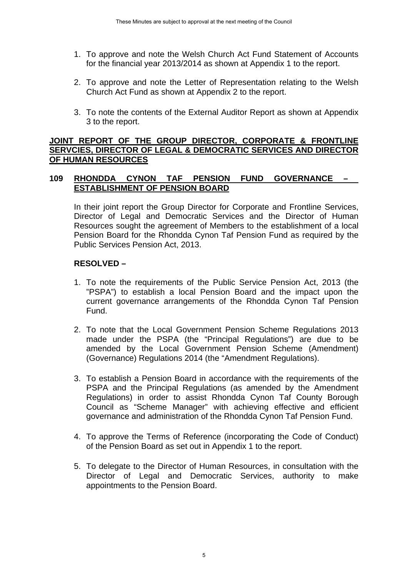- 1. To approve and note the Welsh Church Act Fund Statement of Accounts for the financial year 2013/2014 as shown at Appendix 1 to the report.
- 2. To approve and note the Letter of Representation relating to the Welsh Church Act Fund as shown at Appendix 2 to the report.
- 3. To note the contents of the External Auditor Report as shown at Appendix 3 to the report.

# **JOINT REPORT OF THE GROUP DIRECTOR, CORPORATE & FRONTLINE SERVCIES, DIRECTOR OF LEGAL & DEMOCRATIC SERVICES AND DIRECTOR OF HUMAN RESOURCES**

# **109 RHONDDA CYNON TAF PENSION FUND GOVERNANCE – ESTABLISHMENT OF PENSION BOARD**

In their joint report the Group Director for Corporate and Frontline Services, Director of Legal and Democratic Services and the Director of Human Resources sought the agreement of Members to the establishment of a local Pension Board for the Rhondda Cynon Taf Pension Fund as required by the Public Services Pension Act, 2013.

# **RESOLVED –**

- 1. To note the requirements of the Public Service Pension Act, 2013 (the "PSPA") to establish a local Pension Board and the impact upon the current governance arrangements of the Rhondda Cynon Taf Pension Fund.
- 2. To note that the Local Government Pension Scheme Regulations 2013 made under the PSPA (the "Principal Regulations") are due to be amended by the Local Government Pension Scheme (Amendment) (Governance) Regulations 2014 (the "Amendment Regulations).
- 3. To establish a Pension Board in accordance with the requirements of the PSPA and the Principal Regulations (as amended by the Amendment Regulations) in order to assist Rhondda Cynon Taf County Borough Council as "Scheme Manager" with achieving effective and efficient governance and administration of the Rhondda Cynon Taf Pension Fund. These Minutes are subject to approval at the next meeting of the Council<br>ove and note the Welsh Church Act Fund State<br>anancial year 2013/2014 as shown at Appendix 1<br>ove and note the Letter of Representation rela<br>Act Fund a
- 4. To approve the Terms of Reference (incorporating the Code of Conduct) of the Pension Board as set out in Appendix 1 to the report.
- 5. To delegate to the Director of Human Resources, in consultation with the Director of Legal and Democratic Services, authority to make appointments to the Pension Board.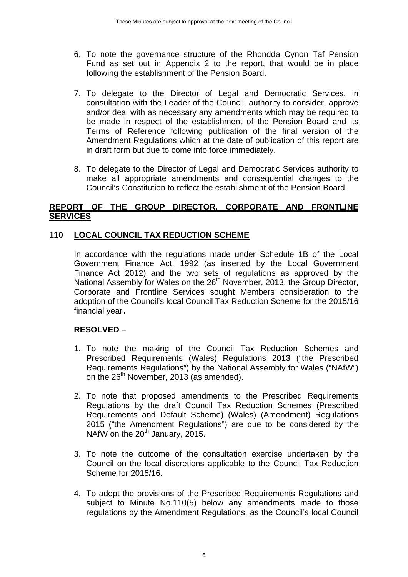- 6. To note the governance structure of the Rhondda Cynon Taf Pension Fund as set out in Appendix 2 to the report, that would be in place following the establishment of the Pension Board.
- 7. To delegate to the Director of Legal and Democratic Services, in consultation with the Leader of the Council, authority to consider, approve and/or deal with as necessary any amendments which may be required to be made in respect of the establishment of the Pension Board and its Terms of Reference following publication of the final version of the Amendment Regulations which at the date of publication of this report are in draft form but due to come into force immediately. These Minutes are subject to approval at the next meeting of the Council<br>the governance structure of the Rhondda C<sub>3</sub><br>s set out in Appendix 2 to the report, that we<br>gate to the Director of Legal and Democrotion<br>at the Lead
- 8. To delegate to the Director of Legal and Democratic Services authority to make all appropriate amendments and consequential changes to the Council's Constitution to reflect the establishment of the Pension Board.

# **REPORT OF THE GROUP DIRECTOR, CORPORATE AND FRONTLINE SERVICES**

# **110 LOCAL COUNCIL TAX REDUCTION SCHEME**

In accordance with the regulations made under Schedule 1B of the Local Government Finance Act, 1992 (as inserted by the Local Government Finance Act 2012) and the two sets of regulations as approved by the National Assembly for Wales on the 26<sup>th</sup> November, 2013, the Group Director, Corporate and Frontline Services sought Members consideration to the adoption of the Council's local Council Tax Reduction Scheme for the 2015/16 financial year **.** 

# **RESOLVED –**

- 1. To note the making of the Council Tax Reduction Schemes and Prescribed Requirements (Wales) Regulations 2013 ("the Prescribed Requirements Regulations") by the National Assembly for Wales ("NAfW") on the 26<sup>th</sup> November, 2013 (as amended).
- 2. To note that proposed amendments to the Prescribed Requirements Regulations by the draft Council Tax Reduction Schemes (Prescribed Requirements and Default Scheme) (Wales) (Amendment) Regulations 2015 ("the Amendment Regulations") are due to be considered by the NAfW on the  $20<sup>th</sup>$  January, 2015.
- 3. To note the outcome of the consultation exercise undertaken by the Council on the local discretions applicable to the Council Tax Reduction Scheme for 2015/16.
- 4. To adopt the provisions of the Prescribed Requirements Regulations and subject to Minute No.110(5) below any amendments made to those regulations by the Amendment Regulations, as the Council's local Council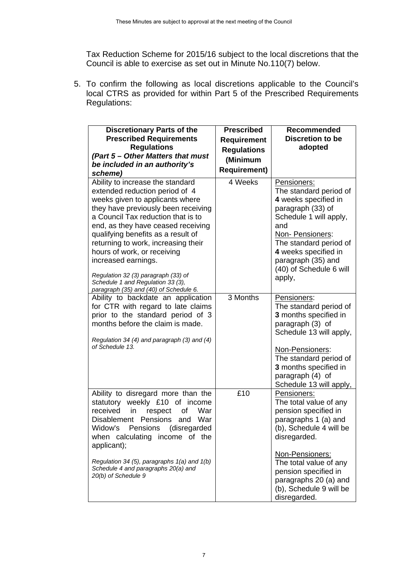5. To confirm the following as local discretions applicable to the Council's local CTRS as provided for within Part 5 of the Prescribed Requirements Regulations:

| To confirm the following as local discretions applicable to the Council's<br>ocal CTRS as provided for within Part 5 of the Prescribed Requirements<br>Regulations:                                                                                                                                                                                                                                                                                                               |                                                                                                  |                                                                                                                                                                                                                                                                           |
|-----------------------------------------------------------------------------------------------------------------------------------------------------------------------------------------------------------------------------------------------------------------------------------------------------------------------------------------------------------------------------------------------------------------------------------------------------------------------------------|--------------------------------------------------------------------------------------------------|---------------------------------------------------------------------------------------------------------------------------------------------------------------------------------------------------------------------------------------------------------------------------|
| <b>Discretionary Parts of the</b><br><b>Prescribed Requirements</b><br><b>Regulations</b><br>(Part 5 – Other Matters that must<br>be included in an authority's<br>scheme)                                                                                                                                                                                                                                                                                                        | <b>Prescribed</b><br><b>Requirement</b><br><b>Regulations</b><br>(Minimum<br><b>Requirement)</b> | Recommended<br><b>Discretion to be</b><br>adopted                                                                                                                                                                                                                         |
| Ability to increase the standard<br>extended reduction period of 4<br>weeks given to applicants where<br>they have previously been receiving<br>a Council Tax reduction that is to<br>end, as they have ceased receiving<br>qualifying benefits as a result of<br>returning to work, increasing their<br>hours of work, or receiving<br>increased earnings.<br>Regulation 32 (3) paragraph (33) of<br>Schedule 1 and Regulation 33 (3),<br>paragraph (35) and (40) of Schedule 6. | 4 Weeks                                                                                          | Pensioners:<br>The standard period of<br>4 weeks specified in<br>paragraph (33) of<br>Schedule 1 will apply,<br>and<br>Non-Pensioners:<br>The standard period of<br>4 weeks specified in<br>paragraph (35) and<br>(40) of Schedule 6 will<br>apply,                       |
| Ability to backdate an application<br>for CTR with regard to late claims<br>prior to the standard period of 3<br>months before the claim is made.<br>Regulation 34 (4) and paragraph (3) and (4)<br>of Schedule 13.                                                                                                                                                                                                                                                               | 3 Months                                                                                         | Pensioners:<br>The standard period of<br>3 months specified in<br>paragraph (3) of<br>Schedule 13 will apply,<br>Non-Pensioners:<br>The standard period of<br>3 months specified in<br>paragraph (4) of<br>Schedule 13 will apply,                                        |
| Ability to disregard more than the<br>weekly £10 of income<br>statutory<br>received<br>in<br>War<br>respect<br>οf<br>Pensions<br><b>Disablement</b><br>War<br>and<br>Widow's<br>Pensions<br>(disregarded<br>when calculating<br>income of the<br>applicant);<br>Regulation 34 (5), paragraphs 1(a) and 1(b)<br>Schedule 4 and paragraphs 20(a) and<br>20(b) of Schedule 9                                                                                                         | £10                                                                                              | Pensioners:<br>The total value of any<br>pension specified in<br>paragraphs 1 (a) and<br>(b), Schedule 4 will be<br>disregarded.<br>Non-Pensioners:<br>The total value of any<br>pension specified in<br>paragraphs 20 (a) and<br>(b), Schedule 9 will be<br>disregarded. |